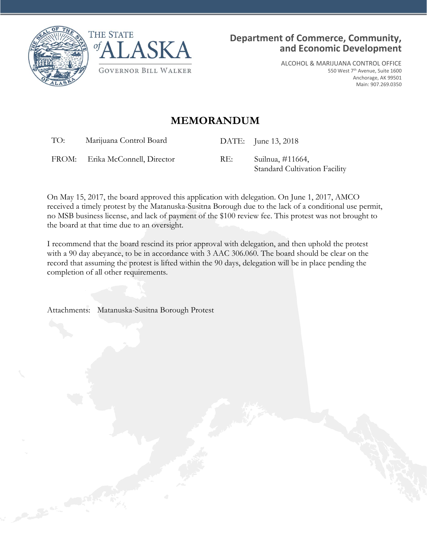



ALCOHOL & MARIJUANA CONTROL OFFICE 550 West 7th Avenue, Suite 1600 Anchorage, AK 99501 Main: 907.269.0350

## **MEMORANDUM**

TO: Marijuana Control Board DATE: June 13, 2018

FROM: Erika McConnell, Director RE: Suilnua, #11664,

Standard Cultivation Facility

On May 15, 2017, the board approved this application with delegation. On June 1, 2017, AMCO received a timely protest by the Matanuska-Susitna Borough due to the lack of a conditional use permit, no MSB business license, and lack of payment of the \$100 review fee. This protest was not brought to the board at that time due to an oversight.

I recommend that the board rescind its prior approval with delegation, and then uphold the protest with a 90 day abeyance, to be in accordance with 3 AAC 306.060. The board should be clear on the record that assuming the protest is lifted within the 90 days, delegation will be in place pending the completion of all other requirements.

Attachments: Matanuska-Susitna Borough Protest